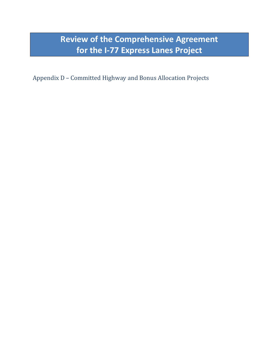**Review of the Comprehensive Agreement for the I-77 Express Lanes Project**

Appendix D – Committed Highway and Bonus Allocation Projects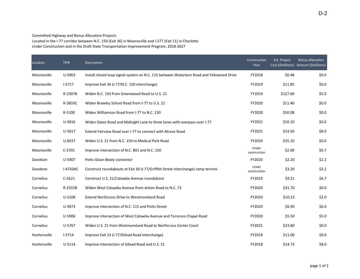Committed Highway and Bonus Allocation Projects

Located in the I-77 corridor between N.C. 150 (Exit 36) in Mooresville and I-277 (Exit 11) in Charlotte Under Construction and in the Draft State Transportation Improvement Program, 2018-2027

| Location     | TIP#       | Description                                                                              | Construction<br>Year  | Est. Project | <b>Bonus Allocation</b><br>Cost (\$millions) Amount (\$millions) |
|--------------|------------|------------------------------------------------------------------------------------------|-----------------------|--------------|------------------------------------------------------------------|
| Mooresville  | U-5963     | Install closed loop signal system on N.C. 115 between Waterlynn Road and Yellowood Drive | FY2018                | \$0.48       | \$0.0\$                                                          |
| Mooresville  | $I-5717$   | Improve Exit 36 (I-77/N.C. 150 interchange)                                              | FY2019                | \$11.85      | \$0.0                                                            |
| Mooresville  | R-2307B    | Widen N.C. 150 from Greenwood Road to U.S. 21                                            | FY2019                | \$127.60     | \$5.0                                                            |
| Mooresville  | R-3833C    | Widen Brawley School Road from I-77 to U.S. 21                                           | FY2020                | \$11.40      | \$0.0                                                            |
| Mooresville  | R-5100     | Widen Williamson Road from I-77 to N.C. 150                                              | FY2020                | \$50.08      | \$0.0                                                            |
| Mooresville  | U-5816     | Widen Oates Road and Midnight Lane to three lanes with overpass over I-77                | FY2021                | \$10.10      | \$0.0                                                            |
| Mooresville  | U-5817     | Extend Fairview Road over I-77 to connect with Alcove Road                               | FY2021                | \$14.50      | \$8.0                                                            |
| Mooresville  | U-6037     | Widen U.S. 21 from N.C. 150 to Medical Park Road                                         | FY2024                | \$35.10      | \$0.0                                                            |
| Mooresville  | C-5701     | Improve intersection of N.C. 801 and N.C. 150                                            | Under<br>construction | \$2.00       | \$0.7                                                            |
| Davidson     | U-5907     | Potts-Sloan-Beaty connector                                                              | FY2020                | \$2.20       | \$2.2                                                            |
| Davidson     | I-4750AC   | Construct roundabouts at Exit 30 (I-77/Griffith Street interchange) ramp termini         | Under<br>construction | \$3.20       | \$3.2                                                            |
| Cornelius    | $C-5621$   | Construct U.S. 21/Catawba Avenue roundabout                                              | FY2019                | \$9.21       | \$6.7                                                            |
| Cornelius    | R-2555B    | Widen West Catawba Avenue from Jetton Road to N.C. 73                                    | FY2020                | \$31.70      | \$0.0                                                            |
| Cornelius    | U-5108     | <b>Extend Northcross Drive to Westmoreland Road</b>                                      | FY2020                | \$10.23      | \$2.0                                                            |
| Cornelius    | U-5873     | Improve intersection of N.C. 115 and Potts Street                                        | FY2020                | \$6.90       | \$6.0                                                            |
| Cornelius    | U-5906     | Improve intersection of West Catawba Avenue and Torrence Chapel Road                     | FY2020                | \$5.50       | \$5.0                                                            |
| Cornelius    | U-5767     | Widen U.S. 21 from Westmoreland Road to Northcross Center Court                          | FY2021                | \$23.80      | \$0.0                                                            |
| Huntersville | $1 - 5714$ | Improve Exit 23 (I-77/Gilead Road interchange)                                           | FY2018                | \$11.00      | \$0.0                                                            |
| Huntersville | U-5114     | Improve intersection of Gilead Road and U.S. 21                                          | FY2018                | \$14.73      | \$8.0                                                            |